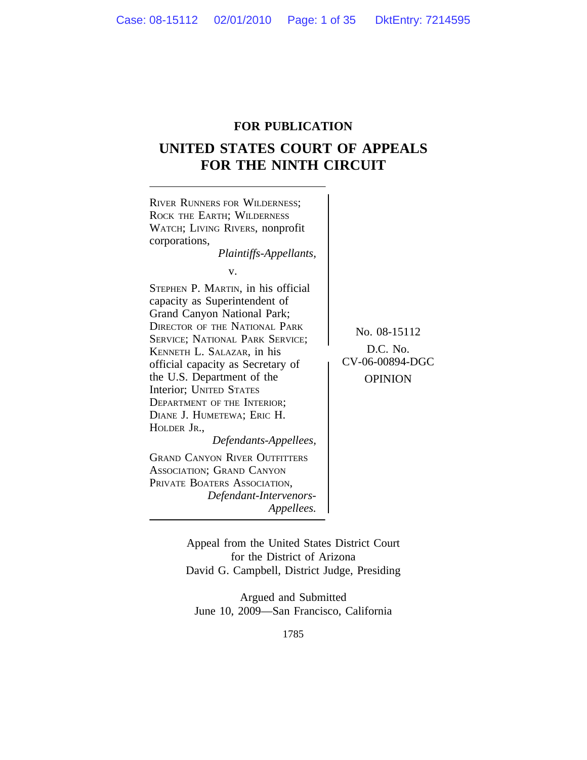### **FOR PUBLICATION**

# **UNITED STATES COURT OF APPEALS FOR THE NINTH CIRCUIT**



Appeal from the United States District Court for the District of Arizona David G. Campbell, District Judge, Presiding

Argued and Submitted June 10, 2009—San Francisco, California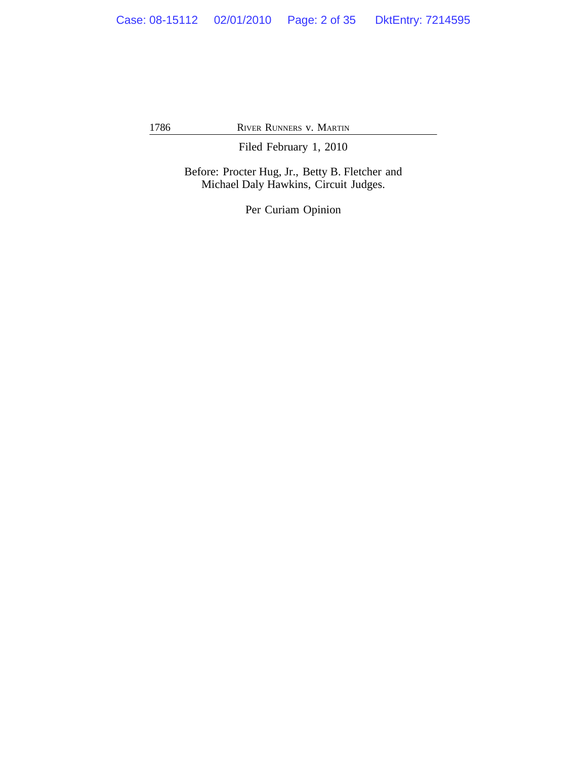Filed February 1, 2010

Before: Procter Hug, Jr., Betty B. Fletcher and Michael Daly Hawkins, Circuit Judges.

Per Curiam Opinion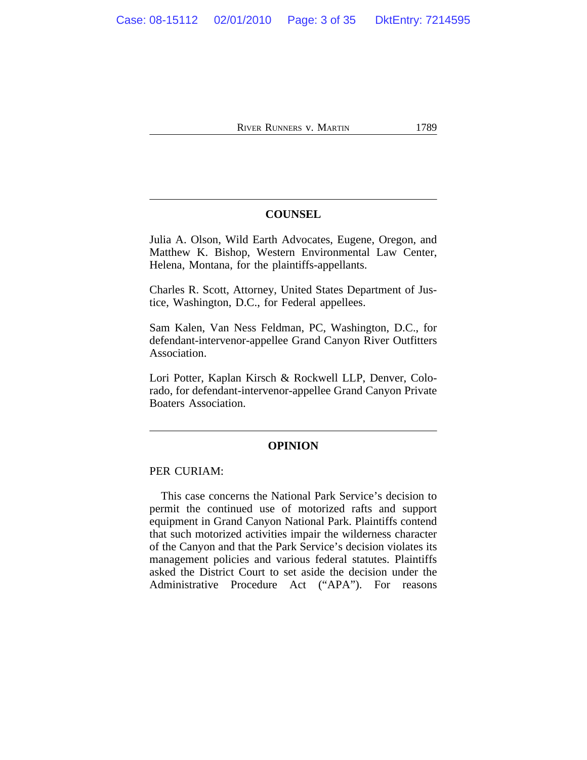#### **COUNSEL**

Julia A. Olson, Wild Earth Advocates, Eugene, Oregon, and Matthew K. Bishop, Western Environmental Law Center, Helena, Montana, for the plaintiffs-appellants.

Charles R. Scott, Attorney, United States Department of Justice, Washington, D.C., for Federal appellees.

Sam Kalen, Van Ness Feldman, PC, Washington, D.C., for defendant-intervenor-appellee Grand Canyon River Outfitters Association.

Lori Potter, Kaplan Kirsch & Rockwell LLP, Denver, Colorado, for defendant-intervenor-appellee Grand Canyon Private Boaters Association.

#### **OPINION**

### PER CURIAM:

This case concerns the National Park Service's decision to permit the continued use of motorized rafts and support equipment in Grand Canyon National Park. Plaintiffs contend that such motorized activities impair the wilderness character of the Canyon and that the Park Service's decision violates its management policies and various federal statutes. Plaintiffs asked the District Court to set aside the decision under the Administrative Procedure Act ("APA"). For reasons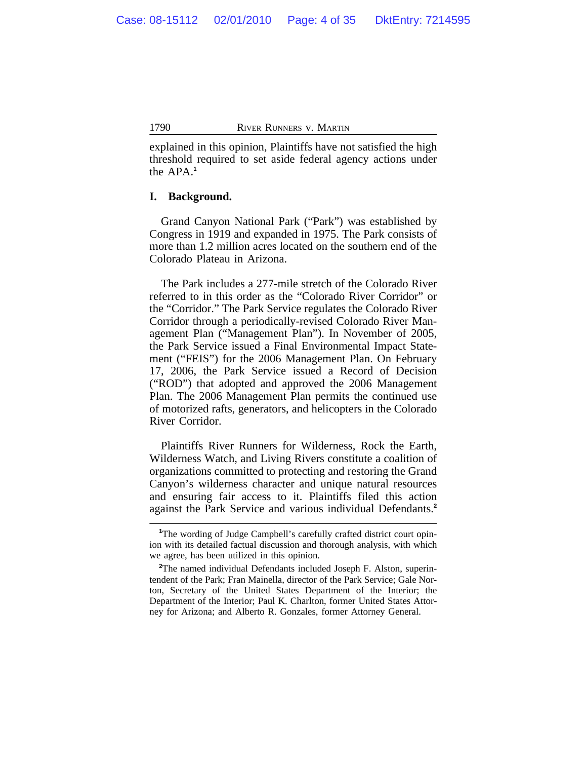explained in this opinion, Plaintiffs have not satisfied the high threshold required to set aside federal agency actions under the APA.**<sup>1</sup>**

### **I. Background.**

Grand Canyon National Park ("Park") was established by Congress in 1919 and expanded in 1975. The Park consists of more than 1.2 million acres located on the southern end of the Colorado Plateau in Arizona.

The Park includes a 277-mile stretch of the Colorado River referred to in this order as the "Colorado River Corridor" or the "Corridor." The Park Service regulates the Colorado River Corridor through a periodically-revised Colorado River Management Plan ("Management Plan"). In November of 2005, the Park Service issued a Final Environmental Impact Statement ("FEIS") for the 2006 Management Plan. On February 17, 2006, the Park Service issued a Record of Decision ("ROD") that adopted and approved the 2006 Management Plan. The 2006 Management Plan permits the continued use of motorized rafts, generators, and helicopters in the Colorado River Corridor.

Plaintiffs River Runners for Wilderness, Rock the Earth, Wilderness Watch, and Living Rivers constitute a coalition of organizations committed to protecting and restoring the Grand Canyon's wilderness character and unique natural resources and ensuring fair access to it. Plaintiffs filed this action against the Park Service and various individual Defendants.**<sup>2</sup>**

<sup>&</sup>lt;sup>1</sup>The wording of Judge Campbell's carefully crafted district court opinion with its detailed factual discussion and thorough analysis, with which we agree, has been utilized in this opinion.

**<sup>2</sup>**The named individual Defendants included Joseph F. Alston, superintendent of the Park; Fran Mainella, director of the Park Service; Gale Norton, Secretary of the United States Department of the Interior; the Department of the Interior; Paul K. Charlton, former United States Attorney for Arizona; and Alberto R. Gonzales, former Attorney General.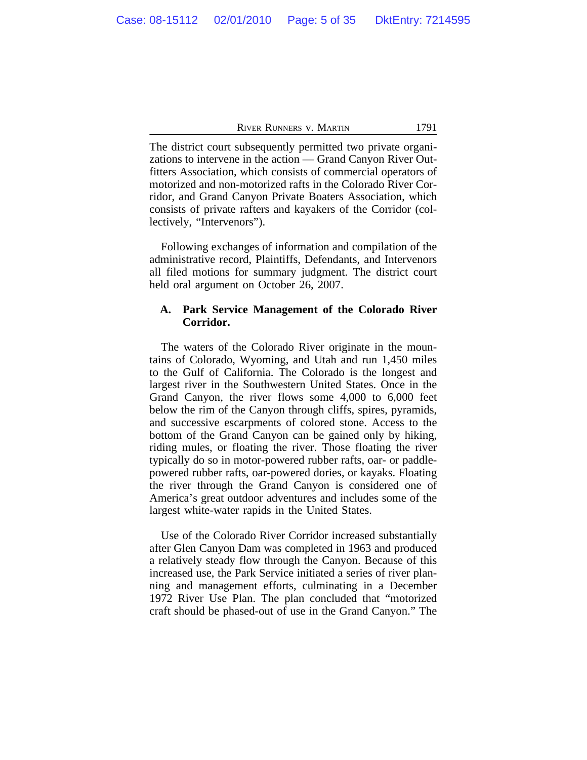The district court subsequently permitted two private organizations to intervene in the action — Grand Canyon River Outfitters Association, which consists of commercial operators of motorized and non-motorized rafts in the Colorado River Corridor, and Grand Canyon Private Boaters Association, which consists of private rafters and kayakers of the Corridor (collectively, "Intervenors").

Following exchanges of information and compilation of the administrative record, Plaintiffs, Defendants, and Intervenors all filed motions for summary judgment. The district court held oral argument on October 26, 2007.

#### **A. Park Service Management of the Colorado River Corridor.**

The waters of the Colorado River originate in the mountains of Colorado, Wyoming, and Utah and run 1,450 miles to the Gulf of California. The Colorado is the longest and largest river in the Southwestern United States. Once in the Grand Canyon, the river flows some 4,000 to 6,000 feet below the rim of the Canyon through cliffs, spires, pyramids, and successive escarpments of colored stone. Access to the bottom of the Grand Canyon can be gained only by hiking, riding mules, or floating the river. Those floating the river typically do so in motor-powered rubber rafts, oar- or paddlepowered rubber rafts, oar-powered dories, or kayaks. Floating the river through the Grand Canyon is considered one of America's great outdoor adventures and includes some of the largest white-water rapids in the United States.

Use of the Colorado River Corridor increased substantially after Glen Canyon Dam was completed in 1963 and produced a relatively steady flow through the Canyon. Because of this increased use, the Park Service initiated a series of river planning and management efforts, culminating in a December 1972 River Use Plan. The plan concluded that "motorized craft should be phased-out of use in the Grand Canyon." The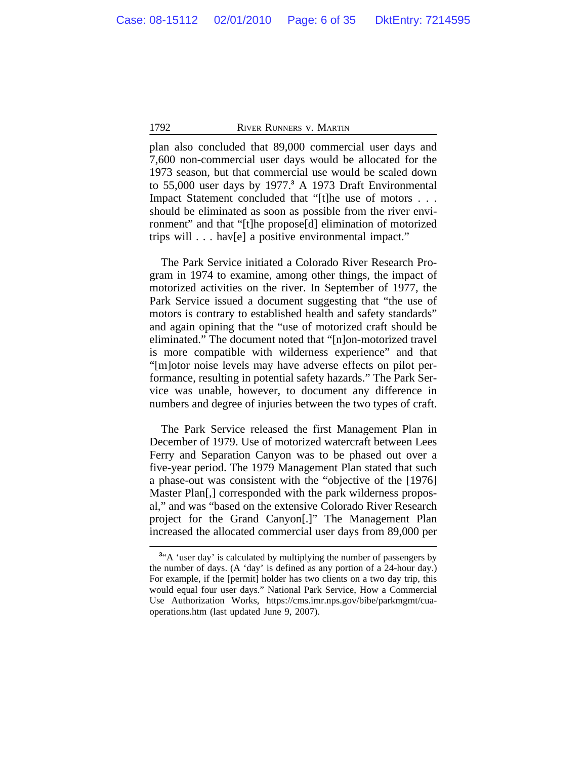plan also concluded that 89,000 commercial user days and 7,600 non-commercial user days would be allocated for the 1973 season, but that commercial use would be scaled down to 55,000 user days by 1977.**<sup>3</sup>** A 1973 Draft Environmental Impact Statement concluded that "[t]he use of motors . . . should be eliminated as soon as possible from the river environment" and that "[t]he propose[d] elimination of motorized trips will . . . hav[e] a positive environmental impact."

The Park Service initiated a Colorado River Research Program in 1974 to examine, among other things, the impact of motorized activities on the river. In September of 1977, the Park Service issued a document suggesting that "the use of motors is contrary to established health and safety standards" and again opining that the "use of motorized craft should be eliminated." The document noted that "[n]on-motorized travel is more compatible with wilderness experience" and that "[m]otor noise levels may have adverse effects on pilot performance, resulting in potential safety hazards." The Park Service was unable, however, to document any difference in numbers and degree of injuries between the two types of craft.

The Park Service released the first Management Plan in December of 1979. Use of motorized watercraft between Lees Ferry and Separation Canyon was to be phased out over a five-year period. The 1979 Management Plan stated that such a phase-out was consistent with the "objective of the [1976] Master Plan[,] corresponded with the park wilderness proposal," and was "based on the extensive Colorado River Research project for the Grand Canyon[.]" The Management Plan increased the allocated commercial user days from 89,000 per

<sup>&</sup>lt;sup>3</sup><sup>4</sup>A 'user day' is calculated by multiplying the number of passengers by the number of days. (A 'day' is defined as any portion of a 24-hour day.) For example, if the [permit] holder has two clients on a two day trip, this would equal four user days." National Park Service, How a Commercial Use Authorization Works, https://cms.imr.nps.gov/bibe/parkmgmt/cuaoperations.htm (last updated June 9, 2007).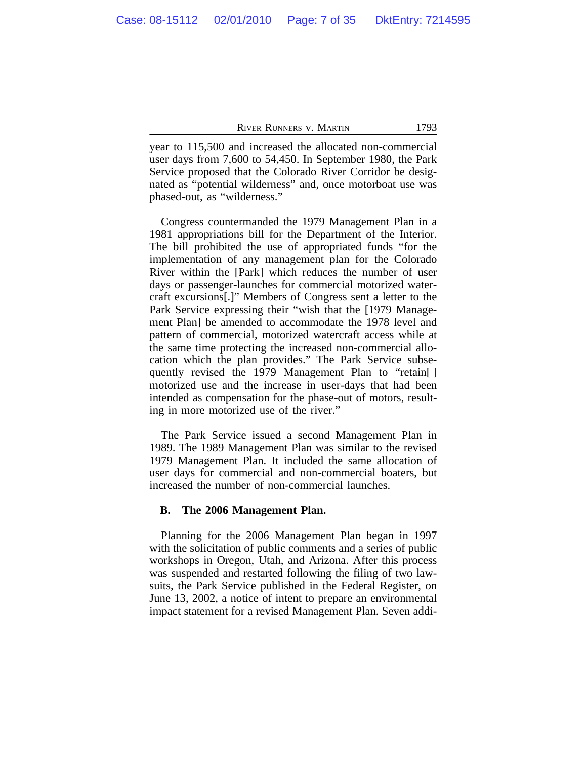year to 115,500 and increased the allocated non-commercial user days from 7,600 to 54,450. In September 1980, the Park Service proposed that the Colorado River Corridor be designated as "potential wilderness" and, once motorboat use was phased-out, as "wilderness."

Congress countermanded the 1979 Management Plan in a 1981 appropriations bill for the Department of the Interior. The bill prohibited the use of appropriated funds "for the implementation of any management plan for the Colorado River within the [Park] which reduces the number of user days or passenger-launches for commercial motorized watercraft excursions[.]" Members of Congress sent a letter to the Park Service expressing their "wish that the [1979 Management Plan] be amended to accommodate the 1978 level and pattern of commercial, motorized watercraft access while at the same time protecting the increased non-commercial allocation which the plan provides." The Park Service subsequently revised the 1979 Management Plan to "retain[ ] motorized use and the increase in user-days that had been intended as compensation for the phase-out of motors, resulting in more motorized use of the river."

The Park Service issued a second Management Plan in 1989. The 1989 Management Plan was similar to the revised 1979 Management Plan. It included the same allocation of user days for commercial and non-commercial boaters, but increased the number of non-commercial launches.

#### **B. The 2006 Management Plan.**

Planning for the 2006 Management Plan began in 1997 with the solicitation of public comments and a series of public workshops in Oregon, Utah, and Arizona. After this process was suspended and restarted following the filing of two lawsuits, the Park Service published in the Federal Register, on June 13, 2002, a notice of intent to prepare an environmental impact statement for a revised Management Plan. Seven addi-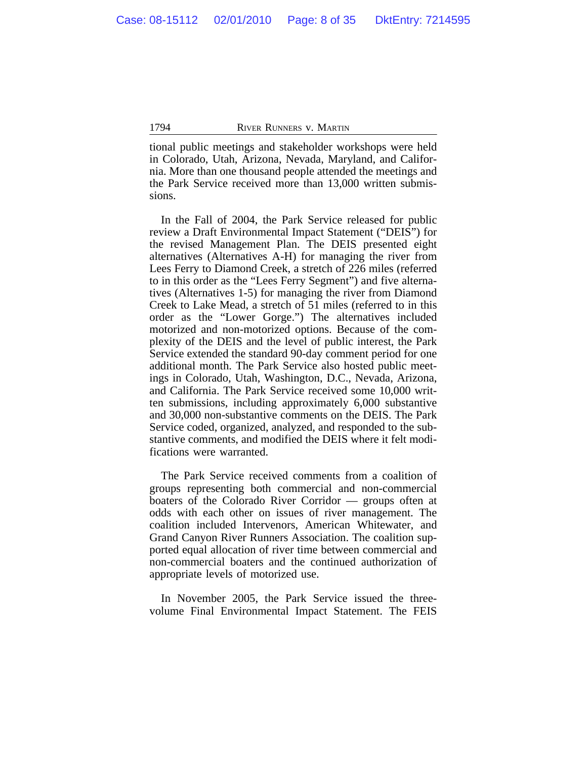tional public meetings and stakeholder workshops were held in Colorado, Utah, Arizona, Nevada, Maryland, and California. More than one thousand people attended the meetings and the Park Service received more than 13,000 written submissions.

In the Fall of 2004, the Park Service released for public review a Draft Environmental Impact Statement ("DEIS") for the revised Management Plan. The DEIS presented eight alternatives (Alternatives A-H) for managing the river from Lees Ferry to Diamond Creek, a stretch of 226 miles (referred to in this order as the "Lees Ferry Segment") and five alternatives (Alternatives 1-5) for managing the river from Diamond Creek to Lake Mead, a stretch of 51 miles (referred to in this order as the "Lower Gorge.") The alternatives included motorized and non-motorized options. Because of the complexity of the DEIS and the level of public interest, the Park Service extended the standard 90-day comment period for one additional month. The Park Service also hosted public meetings in Colorado, Utah, Washington, D.C., Nevada, Arizona, and California. The Park Service received some 10,000 written submissions, including approximately 6,000 substantive and 30,000 non-substantive comments on the DEIS. The Park Service coded, organized, analyzed, and responded to the substantive comments, and modified the DEIS where it felt modifications were warranted.

The Park Service received comments from a coalition of groups representing both commercial and non-commercial boaters of the Colorado River Corridor — groups often at odds with each other on issues of river management. The coalition included Intervenors, American Whitewater, and Grand Canyon River Runners Association. The coalition supported equal allocation of river time between commercial and non-commercial boaters and the continued authorization of appropriate levels of motorized use.

In November 2005, the Park Service issued the threevolume Final Environmental Impact Statement. The FEIS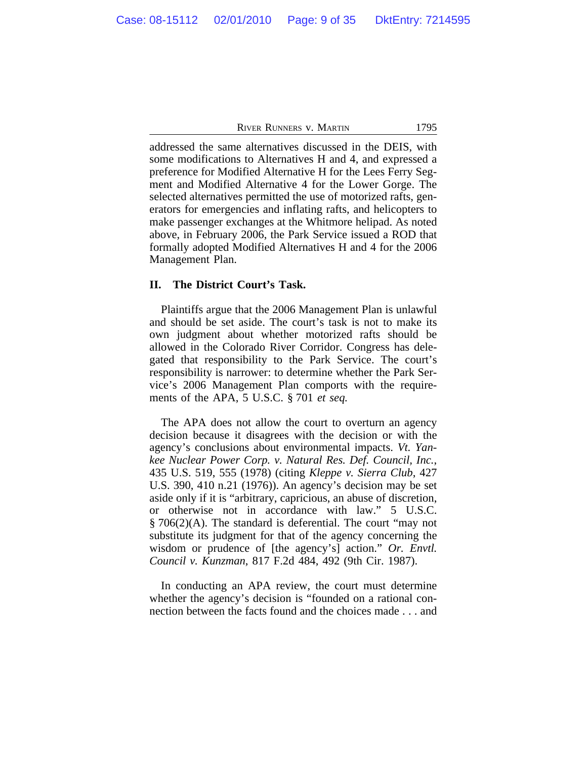addressed the same alternatives discussed in the DEIS, with some modifications to Alternatives H and 4, and expressed a preference for Modified Alternative H for the Lees Ferry Segment and Modified Alternative 4 for the Lower Gorge. The selected alternatives permitted the use of motorized rafts, generators for emergencies and inflating rafts, and helicopters to make passenger exchanges at the Whitmore helipad. As noted above, in February 2006, the Park Service issued a ROD that formally adopted Modified Alternatives H and 4 for the 2006 Management Plan.

### **II. The District Court's Task.**

Plaintiffs argue that the 2006 Management Plan is unlawful and should be set aside. The court's task is not to make its own judgment about whether motorized rafts should be allowed in the Colorado River Corridor. Congress has delegated that responsibility to the Park Service. The court's responsibility is narrower: to determine whether the Park Service's 2006 Management Plan comports with the requirements of the APA, 5 U.S.C. § 701 *et seq.*

The APA does not allow the court to overturn an agency decision because it disagrees with the decision or with the agency's conclusions about environmental impacts. *Vt. Yankee Nuclear Power Corp. v. Natural Res. Def. Council, Inc.*, 435 U.S. 519, 555 (1978) (citing *Kleppe v. Sierra Club*, 427 U.S. 390, 410 n.21 (1976)). An agency's decision may be set aside only if it is "arbitrary, capricious, an abuse of discretion, or otherwise not in accordance with law." 5 U.S.C. § 706(2)(A). The standard is deferential. The court "may not substitute its judgment for that of the agency concerning the wisdom or prudence of [the agency's] action." *Or. Envtl. Council v. Kunzman*, 817 F.2d 484, 492 (9th Cir. 1987).

In conducting an APA review, the court must determine whether the agency's decision is "founded on a rational connection between the facts found and the choices made . . . and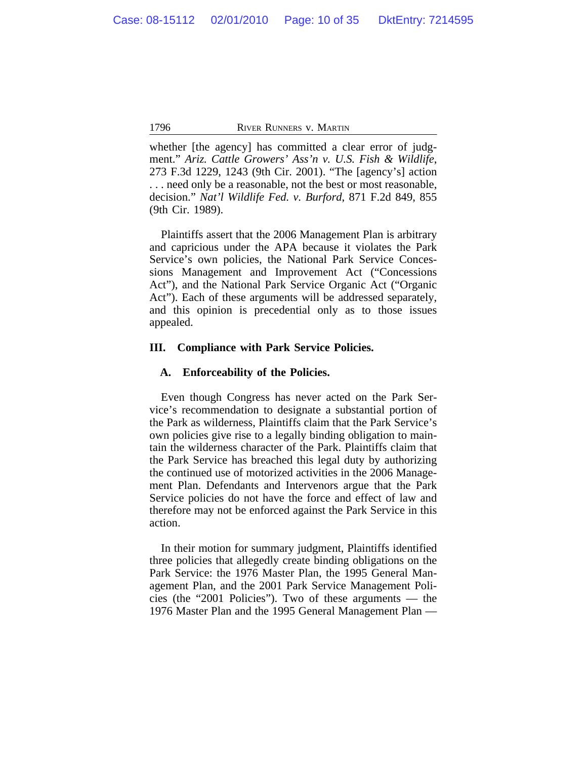whether [the agency] has committed a clear error of judgment." *Ariz. Cattle Growers' Ass'n v. U.S. Fish & Wildlife*, 273 F.3d 1229, 1243 (9th Cir. 2001). "The [agency's] action . . . need only be a reasonable, not the best or most reasonable, decision." *Nat'l Wildlife Fed. v. Burford*, 871 F.2d 849, 855 (9th Cir. 1989).

Plaintiffs assert that the 2006 Management Plan is arbitrary and capricious under the APA because it violates the Park Service's own policies, the National Park Service Concessions Management and Improvement Act ("Concessions Act"), and the National Park Service Organic Act ("Organic Act"). Each of these arguments will be addressed separately, and this opinion is precedential only as to those issues appealed.

### **III. Compliance with Park Service Policies.**

#### **A. Enforceability of the Policies.**

Even though Congress has never acted on the Park Service's recommendation to designate a substantial portion of the Park as wilderness, Plaintiffs claim that the Park Service's own policies give rise to a legally binding obligation to maintain the wilderness character of the Park. Plaintiffs claim that the Park Service has breached this legal duty by authorizing the continued use of motorized activities in the 2006 Management Plan. Defendants and Intervenors argue that the Park Service policies do not have the force and effect of law and therefore may not be enforced against the Park Service in this action.

In their motion for summary judgment, Plaintiffs identified three policies that allegedly create binding obligations on the Park Service: the 1976 Master Plan, the 1995 General Management Plan, and the 2001 Park Service Management Policies (the "2001 Policies"). Two of these arguments — the 1976 Master Plan and the 1995 General Management Plan —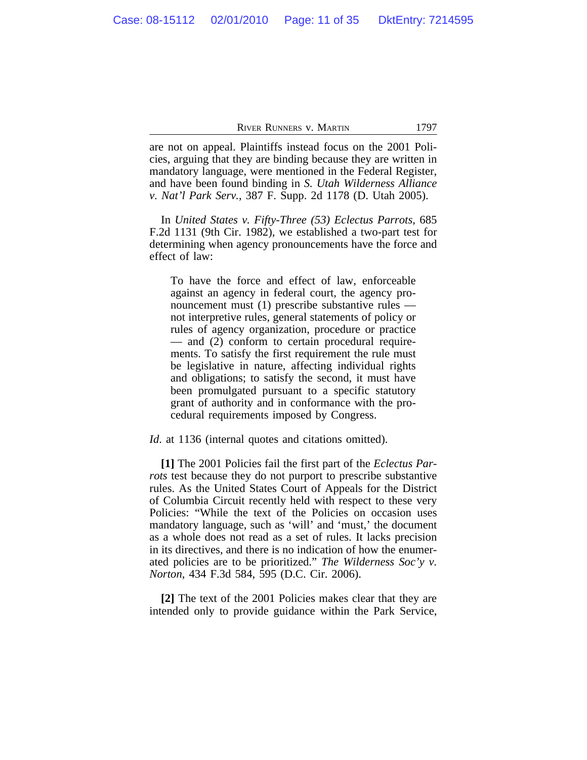are not on appeal. Plaintiffs instead focus on the 2001 Policies, arguing that they are binding because they are written in mandatory language, were mentioned in the Federal Register, and have been found binding in *S. Utah Wilderness Alliance v. Nat'l Park Serv.*, 387 F. Supp. 2d 1178 (D. Utah 2005).

In *United States v. Fifty-Three (53) Eclectus Parrots*, 685 F.2d 1131 (9th Cir. 1982), we established a two-part test for determining when agency pronouncements have the force and effect of law:

To have the force and effect of law, enforceable against an agency in federal court, the agency pronouncement must (1) prescribe substantive rules not interpretive rules, general statements of policy or rules of agency organization, procedure or practice — and (2) conform to certain procedural requirements. To satisfy the first requirement the rule must be legislative in nature, affecting individual rights and obligations; to satisfy the second, it must have been promulgated pursuant to a specific statutory grant of authority and in conformance with the procedural requirements imposed by Congress.

*Id.* at 1136 (internal quotes and citations omitted).

**[1]** The 2001 Policies fail the first part of the *Eclectus Parrots* test because they do not purport to prescribe substantive rules. As the United States Court of Appeals for the District of Columbia Circuit recently held with respect to these very Policies: "While the text of the Policies on occasion uses mandatory language, such as 'will' and 'must,' the document as a whole does not read as a set of rules. It lacks precision in its directives, and there is no indication of how the enumerated policies are to be prioritized." *The Wilderness Soc'y v. Norton*, 434 F.3d 584, 595 (D.C. Cir. 2006).

**[2]** The text of the 2001 Policies makes clear that they are intended only to provide guidance within the Park Service,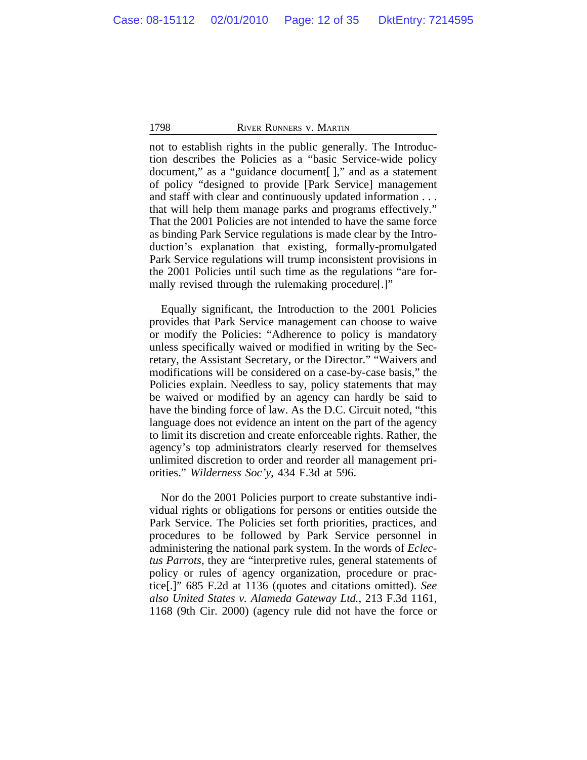not to establish rights in the public generally. The Introduction describes the Policies as a "basic Service-wide policy document," as a "guidance document[]," and as a statement of policy "designed to provide [Park Service] management and staff with clear and continuously updated information . . . that will help them manage parks and programs effectively." That the 2001 Policies are not intended to have the same force as binding Park Service regulations is made clear by the Introduction's explanation that existing, formally-promulgated Park Service regulations will trump inconsistent provisions in the 2001 Policies until such time as the regulations "are formally revised through the rulemaking procedure[.]"

Equally significant, the Introduction to the 2001 Policies provides that Park Service management can choose to waive or modify the Policies: "Adherence to policy is mandatory unless specifically waived or modified in writing by the Secretary, the Assistant Secretary, or the Director." "Waivers and modifications will be considered on a case-by-case basis," the Policies explain. Needless to say, policy statements that may be waived or modified by an agency can hardly be said to have the binding force of law. As the D.C. Circuit noted, "this language does not evidence an intent on the part of the agency to limit its discretion and create enforceable rights. Rather, the agency's top administrators clearly reserved for themselves unlimited discretion to order and reorder all management priorities." *Wilderness Soc'y*, 434 F.3d at 596.

Nor do the 2001 Policies purport to create substantive individual rights or obligations for persons or entities outside the Park Service. The Policies set forth priorities, practices, and procedures to be followed by Park Service personnel in administering the national park system. In the words of *Eclectus Parrots*, they are "interpretive rules, general statements of policy or rules of agency organization, procedure or practice[.]" 685 F.2d at 1136 (quotes and citations omitted). *See also United States v. Alameda Gateway Ltd.*, 213 F.3d 1161, 1168 (9th Cir. 2000) (agency rule did not have the force or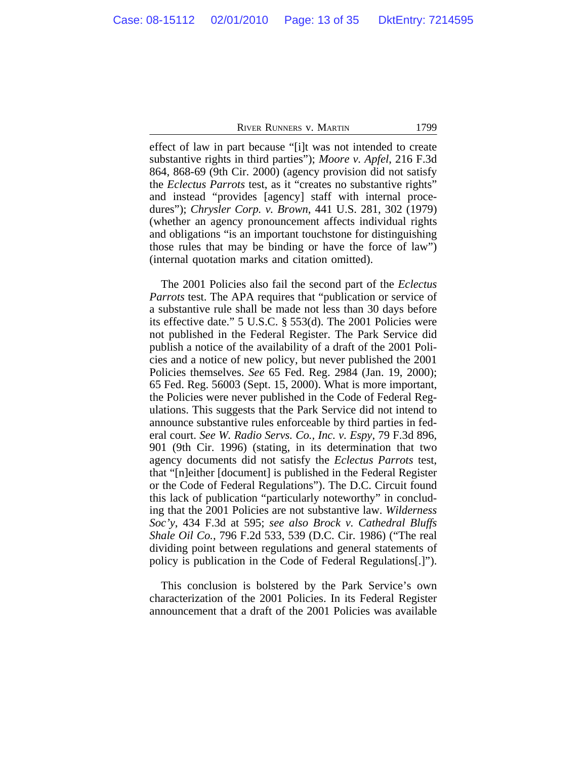effect of law in part because "[i]t was not intended to create substantive rights in third parties"); *Moore v. Apfel*, 216 F.3d 864, 868-69 (9th Cir. 2000) (agency provision did not satisfy the *Eclectus Parrots* test, as it "creates no substantive rights" and instead "provides [agency] staff with internal procedures"); *Chrysler Corp. v. Brown*, 441 U.S. 281, 302 (1979) (whether an agency pronouncement affects individual rights and obligations "is an important touchstone for distinguishing those rules that may be binding or have the force of law") (internal quotation marks and citation omitted).

The 2001 Policies also fail the second part of the *Eclectus Parrots* test. The APA requires that "publication or service of a substantive rule shall be made not less than 30 days before its effective date." 5 U.S.C. § 553(d). The 2001 Policies were not published in the Federal Register. The Park Service did publish a notice of the availability of a draft of the 2001 Policies and a notice of new policy, but never published the 2001 Policies themselves. *See* 65 Fed. Reg. 2984 (Jan. 19, 2000); 65 Fed. Reg. 56003 (Sept. 15, 2000). What is more important, the Policies were never published in the Code of Federal Regulations. This suggests that the Park Service did not intend to announce substantive rules enforceable by third parties in federal court. *See W. Radio Servs. Co., Inc. v. Espy*, 79 F.3d 896, 901 (9th Cir. 1996) (stating, in its determination that two agency documents did not satisfy the *Eclectus Parrots* test, that "[n]either [document] is published in the Federal Register or the Code of Federal Regulations"). The D.C. Circuit found this lack of publication "particularly noteworthy" in concluding that the 2001 Policies are not substantive law. *Wilderness Soc'y*, 434 F.3d at 595; *see also Brock v. Cathedral Bluffs Shale Oil Co.*, 796 F.2d 533, 539 (D.C. Cir. 1986) ("The real dividing point between regulations and general statements of policy is publication in the Code of Federal Regulations[.]").

This conclusion is bolstered by the Park Service's own characterization of the 2001 Policies. In its Federal Register announcement that a draft of the 2001 Policies was available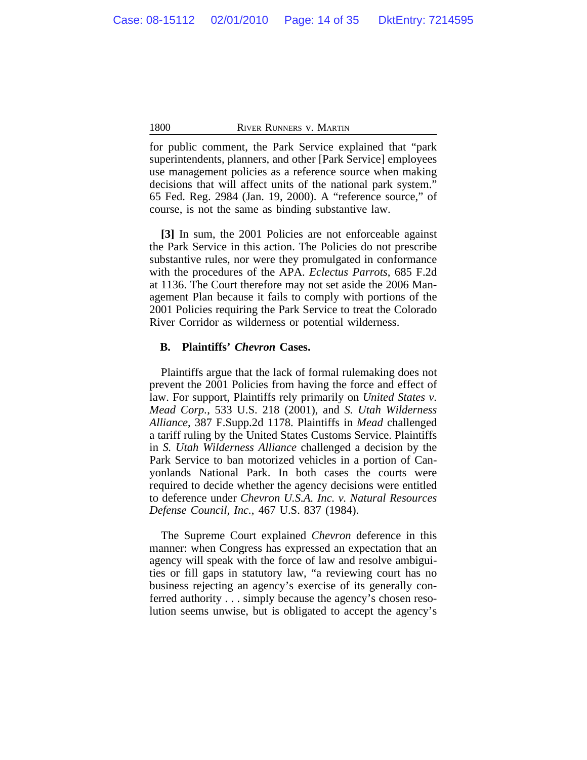for public comment, the Park Service explained that "park superintendents, planners, and other [Park Service] employees use management policies as a reference source when making decisions that will affect units of the national park system." 65 Fed. Reg. 2984 (Jan. 19, 2000). A "reference source," of course, is not the same as binding substantive law.

**[3]** In sum, the 2001 Policies are not enforceable against the Park Service in this action. The Policies do not prescribe substantive rules, nor were they promulgated in conformance with the procedures of the APA. *Eclectus Parrots*, 685 F.2d at 1136. The Court therefore may not set aside the 2006 Management Plan because it fails to comply with portions of the 2001 Policies requiring the Park Service to treat the Colorado River Corridor as wilderness or potential wilderness.

### **B. Plaintiffs'** *Chevron* **Cases.**

Plaintiffs argue that the lack of formal rulemaking does not prevent the 2001 Policies from having the force and effect of law. For support, Plaintiffs rely primarily on *United States v. Mead Corp.*, 533 U.S. 218 (2001), and *S. Utah Wilderness Alliance*, 387 F.Supp.2d 1178. Plaintiffs in *Mead* challenged a tariff ruling by the United States Customs Service. Plaintiffs in *S. Utah Wilderness Alliance* challenged a decision by the Park Service to ban motorized vehicles in a portion of Canyonlands National Park. In both cases the courts were required to decide whether the agency decisions were entitled to deference under *Chevron U.S.A. Inc. v. Natural Resources Defense Council, Inc.*, 467 U.S. 837 (1984).

The Supreme Court explained *Chevron* deference in this manner: when Congress has expressed an expectation that an agency will speak with the force of law and resolve ambiguities or fill gaps in statutory law, "a reviewing court has no business rejecting an agency's exercise of its generally conferred authority . . . simply because the agency's chosen resolution seems unwise, but is obligated to accept the agency's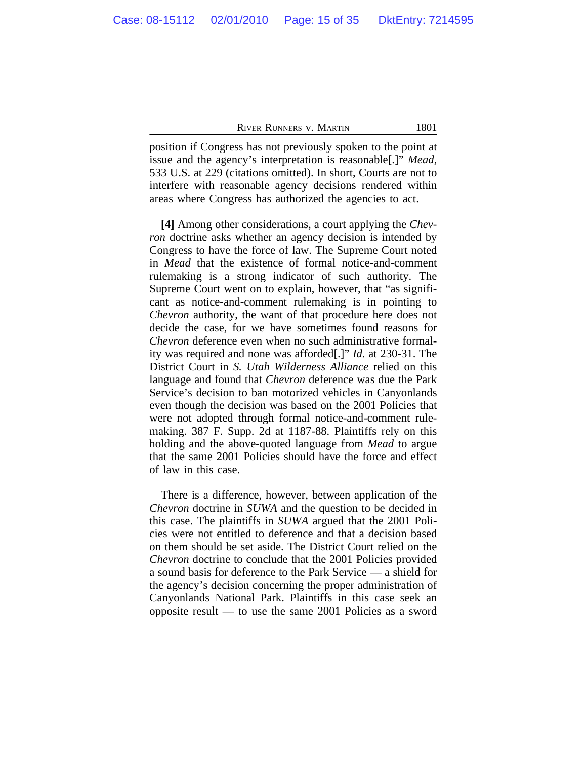position if Congress has not previously spoken to the point at issue and the agency's interpretation is reasonable[.]" *Mead*, 533 U.S. at 229 (citations omitted). In short, Courts are not to interfere with reasonable agency decisions rendered within areas where Congress has authorized the agencies to act.

**[4]** Among other considerations, a court applying the *Chevron* doctrine asks whether an agency decision is intended by Congress to have the force of law. The Supreme Court noted in *Mead* that the existence of formal notice-and-comment rulemaking is a strong indicator of such authority. The Supreme Court went on to explain, however, that "as significant as notice-and-comment rulemaking is in pointing to *Chevron* authority, the want of that procedure here does not decide the case, for we have sometimes found reasons for *Chevron* deference even when no such administrative formality was required and none was afforded[.]" *Id.* at 230-31. The District Court in *S. Utah Wilderness Alliance* relied on this language and found that *Chevron* deference was due the Park Service's decision to ban motorized vehicles in Canyonlands even though the decision was based on the 2001 Policies that were not adopted through formal notice-and-comment rulemaking. 387 F. Supp. 2d at 1187-88. Plaintiffs rely on this holding and the above-quoted language from *Mead* to argue that the same 2001 Policies should have the force and effect of law in this case.

There is a difference, however, between application of the *Chevron* doctrine in *SUWA* and the question to be decided in this case. The plaintiffs in *SUWA* argued that the 2001 Policies were not entitled to deference and that a decision based on them should be set aside. The District Court relied on the *Chevron* doctrine to conclude that the 2001 Policies provided a sound basis for deference to the Park Service — a shield for the agency's decision concerning the proper administration of Canyonlands National Park. Plaintiffs in this case seek an opposite result — to use the same 2001 Policies as a sword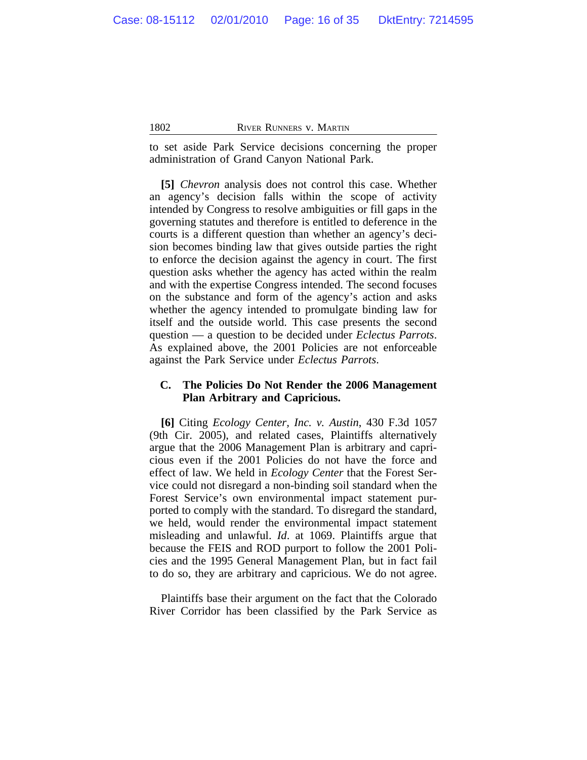to set aside Park Service decisions concerning the proper administration of Grand Canyon National Park.

**[5]** *Chevron* analysis does not control this case. Whether an agency's decision falls within the scope of activity intended by Congress to resolve ambiguities or fill gaps in the governing statutes and therefore is entitled to deference in the courts is a different question than whether an agency's decision becomes binding law that gives outside parties the right to enforce the decision against the agency in court. The first question asks whether the agency has acted within the realm and with the expertise Congress intended. The second focuses on the substance and form of the agency's action and asks whether the agency intended to promulgate binding law for itself and the outside world. This case presents the second question — a question to be decided under *Eclectus Parrots*. As explained above, the 2001 Policies are not enforceable against the Park Service under *Eclectus Parrots*.

### **C. The Policies Do Not Render the 2006 Management Plan Arbitrary and Capricious.**

**[6]** Citing *Ecology Center, Inc. v. Austin*, 430 F.3d 1057 (9th Cir. 2005), and related cases, Plaintiffs alternatively argue that the 2006 Management Plan is arbitrary and capricious even if the 2001 Policies do not have the force and effect of law. We held in *Ecology Center* that the Forest Service could not disregard a non-binding soil standard when the Forest Service's own environmental impact statement purported to comply with the standard. To disregard the standard, we held, would render the environmental impact statement misleading and unlawful. *Id*. at 1069. Plaintiffs argue that because the FEIS and ROD purport to follow the 2001 Policies and the 1995 General Management Plan, but in fact fail to do so, they are arbitrary and capricious. We do not agree.

Plaintiffs base their argument on the fact that the Colorado River Corridor has been classified by the Park Service as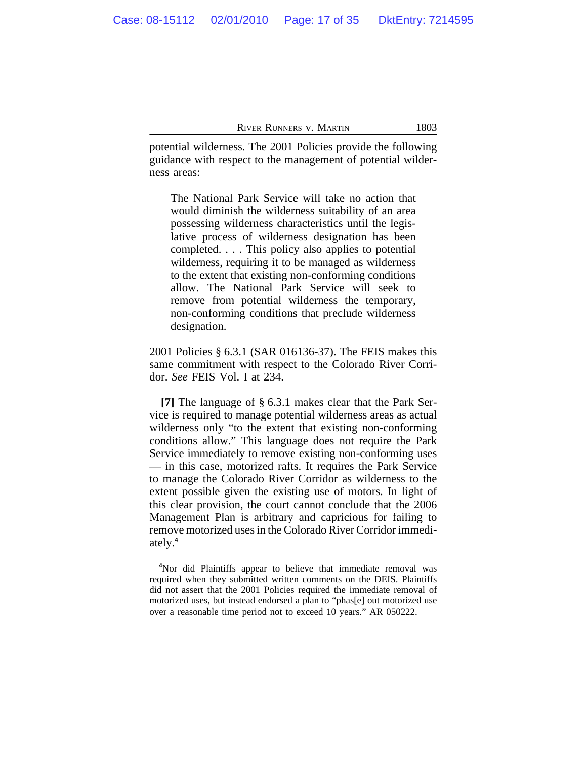potential wilderness. The 2001 Policies provide the following guidance with respect to the management of potential wilderness areas:

The National Park Service will take no action that would diminish the wilderness suitability of an area possessing wilderness characteristics until the legislative process of wilderness designation has been completed. . . . This policy also applies to potential wilderness, requiring it to be managed as wilderness to the extent that existing non-conforming conditions allow. The National Park Service will seek to remove from potential wilderness the temporary, non-conforming conditions that preclude wilderness designation.

2001 Policies § 6.3.1 (SAR 016136-37). The FEIS makes this same commitment with respect to the Colorado River Corridor. *See* FEIS Vol. I at 234.

**[7]** The language of § 6.3.1 makes clear that the Park Service is required to manage potential wilderness areas as actual wilderness only "to the extent that existing non-conforming conditions allow." This language does not require the Park Service immediately to remove existing non-conforming uses — in this case, motorized rafts. It requires the Park Service to manage the Colorado River Corridor as wilderness to the extent possible given the existing use of motors. In light of this clear provision, the court cannot conclude that the 2006 Management Plan is arbitrary and capricious for failing to remove motorized uses in the Colorado River Corridor immediately.**<sup>4</sup>**

**<sup>4</sup>**Nor did Plaintiffs appear to believe that immediate removal was required when they submitted written comments on the DEIS. Plaintiffs did not assert that the 2001 Policies required the immediate removal of motorized uses, but instead endorsed a plan to "phas[e] out motorized use over a reasonable time period not to exceed 10 years." AR 050222.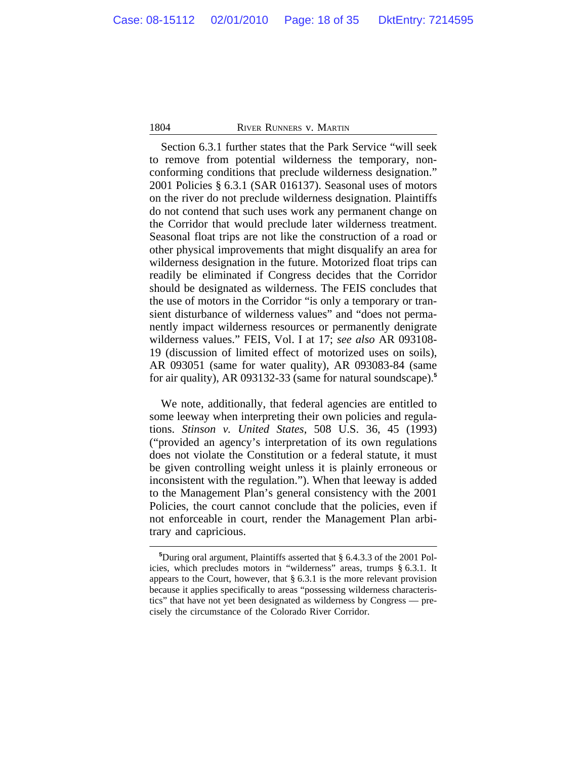Section 6.3.1 further states that the Park Service "will seek to remove from potential wilderness the temporary, nonconforming conditions that preclude wilderness designation." 2001 Policies § 6.3.1 (SAR 016137). Seasonal uses of motors on the river do not preclude wilderness designation. Plaintiffs do not contend that such uses work any permanent change on the Corridor that would preclude later wilderness treatment. Seasonal float trips are not like the construction of a road or other physical improvements that might disqualify an area for wilderness designation in the future. Motorized float trips can readily be eliminated if Congress decides that the Corridor should be designated as wilderness. The FEIS concludes that the use of motors in the Corridor "is only a temporary or transient disturbance of wilderness values" and "does not permanently impact wilderness resources or permanently denigrate wilderness values." FEIS, Vol. I at 17; *see also* AR 093108- 19 (discussion of limited effect of motorized uses on soils), AR 093051 (same for water quality), AR 093083-84 (same for air quality), AR 093132-33 (same for natural soundscape).**<sup>5</sup>**

We note, additionally, that federal agencies are entitled to some leeway when interpreting their own policies and regulations. *Stinson v. United States*, 508 U.S. 36, 45 (1993) ("provided an agency's interpretation of its own regulations does not violate the Constitution or a federal statute, it must be given controlling weight unless it is plainly erroneous or inconsistent with the regulation."). When that leeway is added to the Management Plan's general consistency with the 2001 Policies, the court cannot conclude that the policies, even if not enforceable in court, render the Management Plan arbitrary and capricious.

**<sup>5</sup>**During oral argument, Plaintiffs asserted that § 6.4.3.3 of the 2001 Policies, which precludes motors in "wilderness" areas, trumps § 6.3.1. It appears to the Court, however, that  $\S 6.3.1$  is the more relevant provision because it applies specifically to areas "possessing wilderness characteristics" that have not yet been designated as wilderness by Congress — precisely the circumstance of the Colorado River Corridor.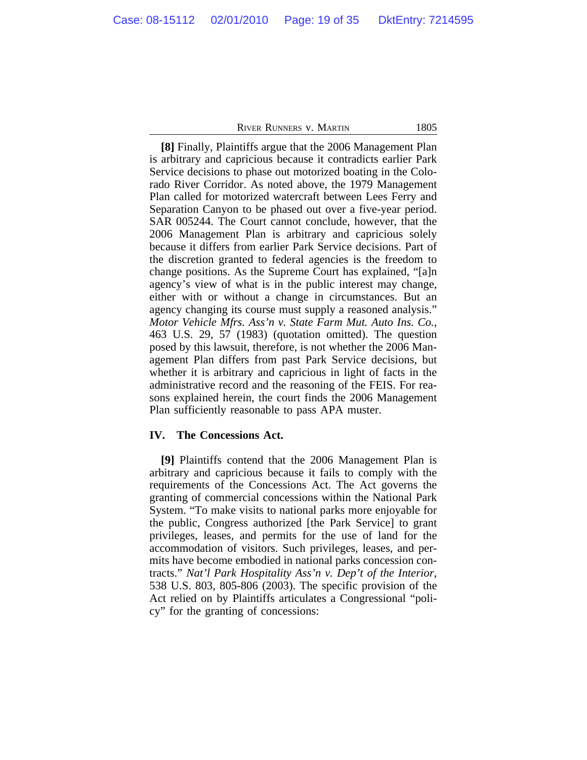**[8]** Finally, Plaintiffs argue that the 2006 Management Plan is arbitrary and capricious because it contradicts earlier Park Service decisions to phase out motorized boating in the Colorado River Corridor. As noted above, the 1979 Management Plan called for motorized watercraft between Lees Ferry and Separation Canyon to be phased out over a five-year period. SAR 005244. The Court cannot conclude, however, that the 2006 Management Plan is arbitrary and capricious solely because it differs from earlier Park Service decisions. Part of the discretion granted to federal agencies is the freedom to change positions. As the Supreme Court has explained, "[a]n agency's view of what is in the public interest may change, either with or without a change in circumstances. But an agency changing its course must supply a reasoned analysis." *Motor Vehicle Mfrs. Ass'n v. State Farm Mut. Auto Ins. Co.*, 463 U.S. 29, 57 (1983) (quotation omitted). The question posed by this lawsuit, therefore, is not whether the 2006 Management Plan differs from past Park Service decisions, but whether it is arbitrary and capricious in light of facts in the administrative record and the reasoning of the FEIS. For reasons explained herein, the court finds the 2006 Management Plan sufficiently reasonable to pass APA muster.

#### **IV. The Concessions Act.**

**[9]** Plaintiffs contend that the 2006 Management Plan is arbitrary and capricious because it fails to comply with the requirements of the Concessions Act. The Act governs the granting of commercial concessions within the National Park System. "To make visits to national parks more enjoyable for the public, Congress authorized [the Park Service] to grant privileges, leases, and permits for the use of land for the accommodation of visitors. Such privileges, leases, and permits have become embodied in national parks concession contracts." *Nat'l Park Hospitality Ass'n v. Dep't of the Interior*, 538 U.S. 803, 805-806 (2003). The specific provision of the Act relied on by Plaintiffs articulates a Congressional "policy" for the granting of concessions: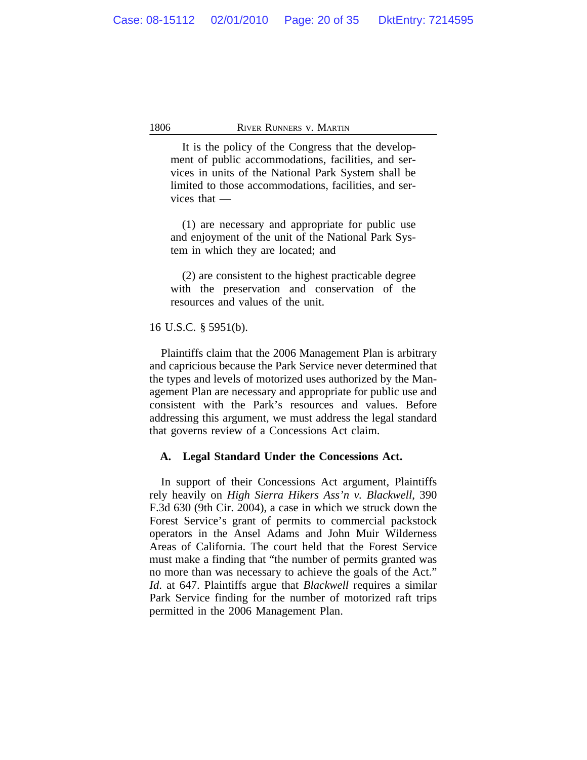It is the policy of the Congress that the development of public accommodations, facilities, and services in units of the National Park System shall be limited to those accommodations, facilities, and services that —

(1) are necessary and appropriate for public use and enjoyment of the unit of the National Park System in which they are located; and

(2) are consistent to the highest practicable degree with the preservation and conservation of the resources and values of the unit.

16 U.S.C. § 5951(b).

Plaintiffs claim that the 2006 Management Plan is arbitrary and capricious because the Park Service never determined that the types and levels of motorized uses authorized by the Management Plan are necessary and appropriate for public use and consistent with the Park's resources and values. Before addressing this argument, we must address the legal standard that governs review of a Concessions Act claim.

### **A. Legal Standard Under the Concessions Act.**

In support of their Concessions Act argument, Plaintiffs rely heavily on *High Sierra Hikers Ass'n v. Blackwell*, 390 F.3d 630 (9th Cir. 2004), a case in which we struck down the Forest Service's grant of permits to commercial packstock operators in the Ansel Adams and John Muir Wilderness Areas of California. The court held that the Forest Service must make a finding that "the number of permits granted was no more than was necessary to achieve the goals of the Act." *Id*. at 647. Plaintiffs argue that *Blackwell* requires a similar Park Service finding for the number of motorized raft trips permitted in the 2006 Management Plan.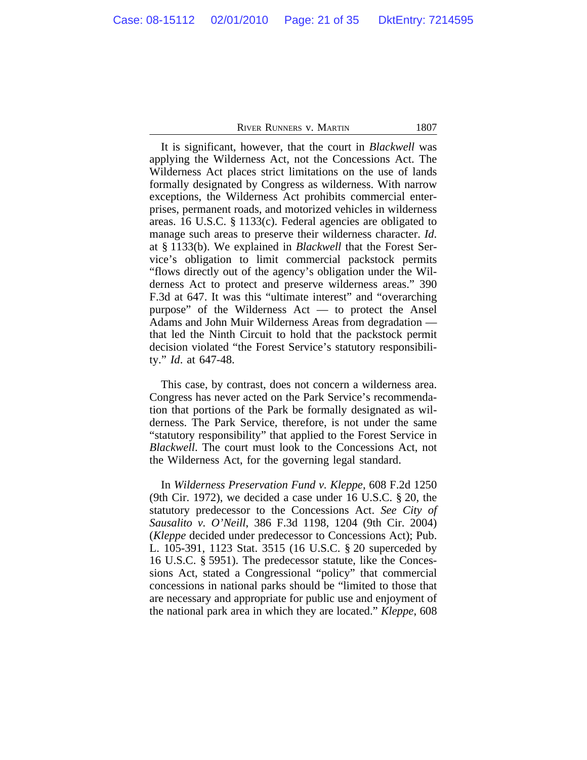It is significant, however, that the court in *Blackwell* was applying the Wilderness Act, not the Concessions Act. The Wilderness Act places strict limitations on the use of lands formally designated by Congress as wilderness. With narrow exceptions, the Wilderness Act prohibits commercial enterprises, permanent roads, and motorized vehicles in wilderness areas. 16 U.S.C. § 1133(c). Federal agencies are obligated to manage such areas to preserve their wilderness character. *Id*. at § 1133(b). We explained in *Blackwell* that the Forest Service's obligation to limit commercial packstock permits "flows directly out of the agency's obligation under the Wilderness Act to protect and preserve wilderness areas." 390 F.3d at 647. It was this "ultimate interest" and "overarching purpose" of the Wilderness Act — to protect the Ansel Adams and John Muir Wilderness Areas from degradation that led the Ninth Circuit to hold that the packstock permit decision violated "the Forest Service's statutory responsibility." *Id*. at 647-48.

This case, by contrast, does not concern a wilderness area. Congress has never acted on the Park Service's recommendation that portions of the Park be formally designated as wilderness. The Park Service, therefore, is not under the same "statutory responsibility" that applied to the Forest Service in *Blackwell*. The court must look to the Concessions Act, not the Wilderness Act, for the governing legal standard.

In *Wilderness Preservation Fund v. Kleppe*, 608 F.2d 1250 (9th Cir. 1972), we decided a case under 16 U.S.C. § 20, the statutory predecessor to the Concessions Act. *See City of Sausalito v. O'Neill*, 386 F.3d 1198, 1204 (9th Cir. 2004) (*Kleppe* decided under predecessor to Concessions Act); Pub. L. 105-391, 1123 Stat. 3515 (16 U.S.C. § 20 superceded by 16 U.S.C. § 5951). The predecessor statute, like the Concessions Act, stated a Congressional "policy" that commercial concessions in national parks should be "limited to those that are necessary and appropriate for public use and enjoyment of the national park area in which they are located." *Kleppe*, 608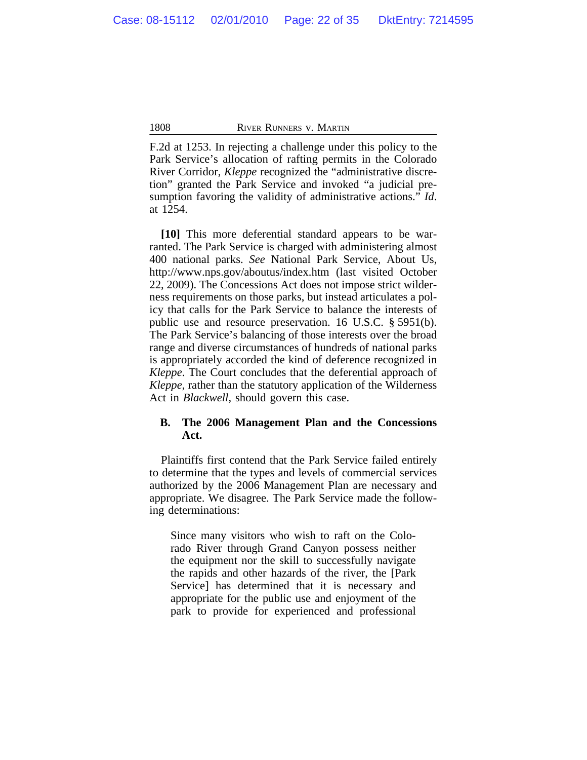F.2d at 1253. In rejecting a challenge under this policy to the Park Service's allocation of rafting permits in the Colorado River Corridor, *Kleppe* recognized the "administrative discretion" granted the Park Service and invoked "a judicial presumption favoring the validity of administrative actions." *Id*. at 1254.

**[10]** This more deferential standard appears to be warranted. The Park Service is charged with administering almost 400 national parks. *See* National Park Service, About Us, http://www.nps.gov/aboutus/index.htm (last visited October 22, 2009). The Concessions Act does not impose strict wilderness requirements on those parks, but instead articulates a policy that calls for the Park Service to balance the interests of public use and resource preservation. 16 U.S.C. § 5951(b). The Park Service's balancing of those interests over the broad range and diverse circumstances of hundreds of national parks is appropriately accorded the kind of deference recognized in *Kleppe*. The Court concludes that the deferential approach of *Kleppe*, rather than the statutory application of the Wilderness Act in *Blackwell*, should govern this case.

### **B. The 2006 Management Plan and the Concessions Act.**

Plaintiffs first contend that the Park Service failed entirely to determine that the types and levels of commercial services authorized by the 2006 Management Plan are necessary and appropriate. We disagree. The Park Service made the following determinations:

Since many visitors who wish to raft on the Colorado River through Grand Canyon possess neither the equipment nor the skill to successfully navigate the rapids and other hazards of the river, the [Park Service] has determined that it is necessary and appropriate for the public use and enjoyment of the park to provide for experienced and professional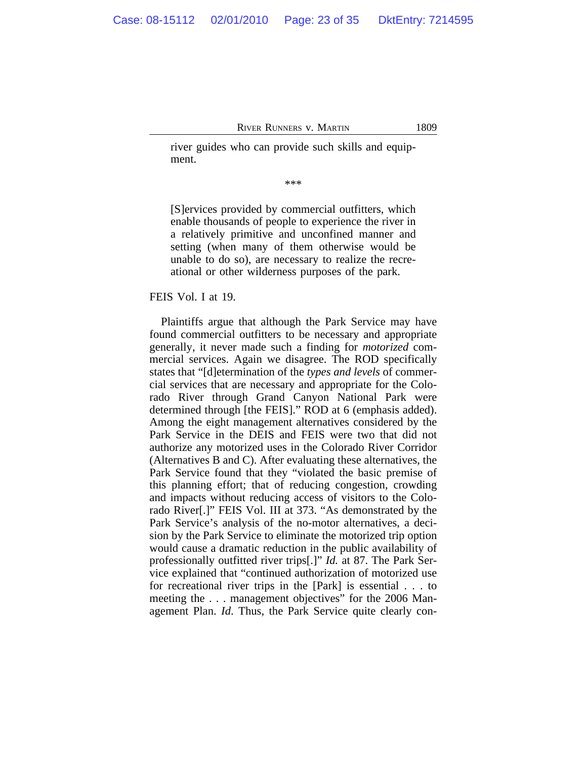river guides who can provide such skills and equipment.

\*\*\*

[S]ervices provided by commercial outfitters, which enable thousands of people to experience the river in a relatively primitive and unconfined manner and setting (when many of them otherwise would be unable to do so), are necessary to realize the recreational or other wilderness purposes of the park.

#### FEIS Vol. I at 19.

Plaintiffs argue that although the Park Service may have found commercial outfitters to be necessary and appropriate generally, it never made such a finding for *motorized* commercial services. Again we disagree. The ROD specifically states that "[d]etermination of the *types and levels* of commercial services that are necessary and appropriate for the Colorado River through Grand Canyon National Park were determined through [the FEIS]." ROD at 6 (emphasis added). Among the eight management alternatives considered by the Park Service in the DEIS and FEIS were two that did not authorize any motorized uses in the Colorado River Corridor (Alternatives B and C). After evaluating these alternatives, the Park Service found that they "violated the basic premise of this planning effort; that of reducing congestion, crowding and impacts without reducing access of visitors to the Colorado River[.]" FEIS Vol. III at 373. "As demonstrated by the Park Service's analysis of the no-motor alternatives, a decision by the Park Service to eliminate the motorized trip option would cause a dramatic reduction in the public availability of professionally outfitted river trips[.]" *Id.* at 87. The Park Service explained that "continued authorization of motorized use for recreational river trips in the [Park] is essential . . . to meeting the ... management objectives" for the 2006 Management Plan. *Id*. Thus, the Park Service quite clearly con-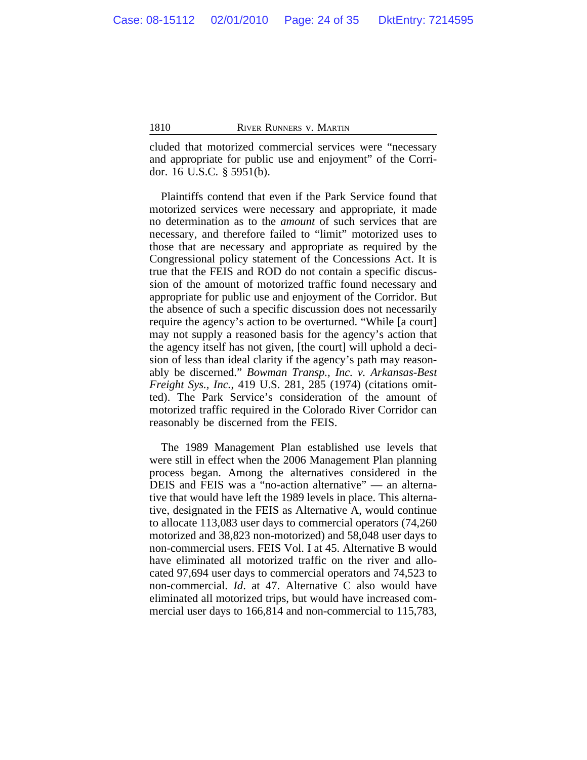cluded that motorized commercial services were "necessary and appropriate for public use and enjoyment" of the Corridor. 16 U.S.C. § 5951(b).

Plaintiffs contend that even if the Park Service found that motorized services were necessary and appropriate, it made no determination as to the *amount* of such services that are necessary, and therefore failed to "limit" motorized uses to those that are necessary and appropriate as required by the Congressional policy statement of the Concessions Act. It is true that the FEIS and ROD do not contain a specific discussion of the amount of motorized traffic found necessary and appropriate for public use and enjoyment of the Corridor. But the absence of such a specific discussion does not necessarily require the agency's action to be overturned. "While [a court] may not supply a reasoned basis for the agency's action that the agency itself has not given, [the court] will uphold a decision of less than ideal clarity if the agency's path may reasonably be discerned." *Bowman Transp., Inc. v. Arkansas-Best Freight Sys., Inc.*, 419 U.S. 281, 285 (1974) (citations omitted). The Park Service's consideration of the amount of motorized traffic required in the Colorado River Corridor can reasonably be discerned from the FEIS.

The 1989 Management Plan established use levels that were still in effect when the 2006 Management Plan planning process began. Among the alternatives considered in the DEIS and FEIS was a "no-action alternative" — an alternative that would have left the 1989 levels in place. This alternative, designated in the FEIS as Alternative A, would continue to allocate 113,083 user days to commercial operators (74,260 motorized and 38,823 non-motorized) and 58,048 user days to non-commercial users. FEIS Vol. I at 45. Alternative B would have eliminated all motorized traffic on the river and allocated 97,694 user days to commercial operators and 74,523 to non-commercial. *Id*. at 47. Alternative C also would have eliminated all motorized trips, but would have increased commercial user days to 166,814 and non-commercial to 115,783,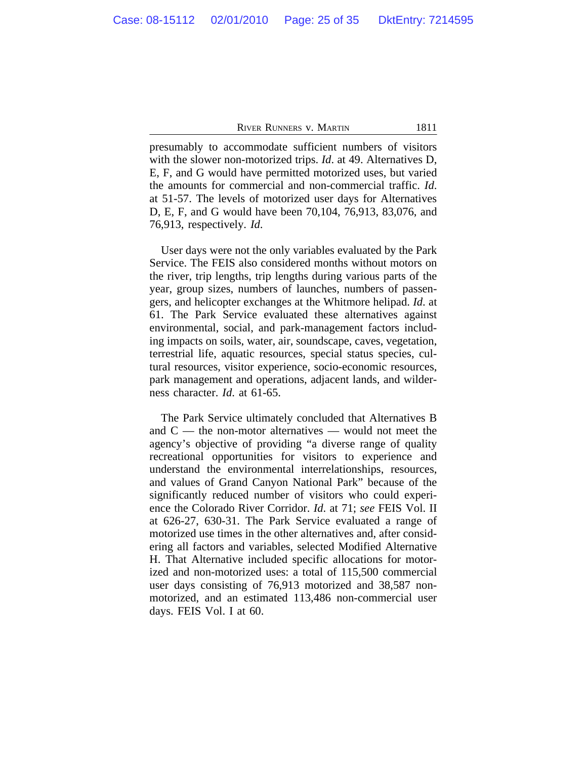presumably to accommodate sufficient numbers of visitors with the slower non-motorized trips. *Id*. at 49. Alternatives D, E, F, and G would have permitted motorized uses, but varied the amounts for commercial and non-commercial traffic. *Id*. at 51-57. The levels of motorized user days for Alternatives D, E, F, and G would have been 70,104, 76,913, 83,076, and 76,913, respectively. *Id*.

User days were not the only variables evaluated by the Park Service. The FEIS also considered months without motors on the river, trip lengths, trip lengths during various parts of the year, group sizes, numbers of launches, numbers of passengers, and helicopter exchanges at the Whitmore helipad. *Id*. at 61. The Park Service evaluated these alternatives against environmental, social, and park-management factors including impacts on soils, water, air, soundscape, caves, vegetation, terrestrial life, aquatic resources, special status species, cultural resources, visitor experience, socio-economic resources, park management and operations, adjacent lands, and wilderness character. *Id*. at 61-65.

The Park Service ultimately concluded that Alternatives B and C — the non-motor alternatives — would not meet the agency's objective of providing "a diverse range of quality recreational opportunities for visitors to experience and understand the environmental interrelationships, resources, and values of Grand Canyon National Park" because of the significantly reduced number of visitors who could experience the Colorado River Corridor. *Id*. at 71; *see* FEIS Vol. II at 626-27, 630-31. The Park Service evaluated a range of motorized use times in the other alternatives and, after considering all factors and variables, selected Modified Alternative H. That Alternative included specific allocations for motorized and non-motorized uses: a total of 115,500 commercial user days consisting of 76,913 motorized and 38,587 nonmotorized, and an estimated 113,486 non-commercial user days. FEIS Vol. I at 60.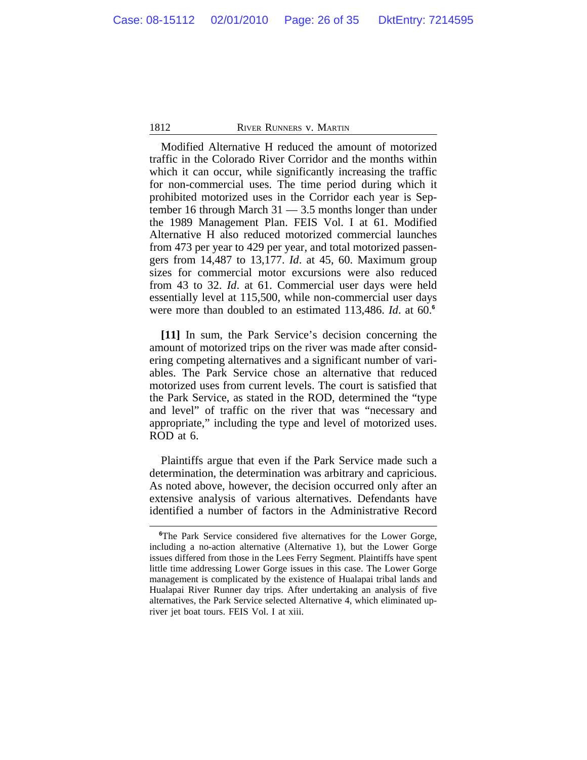Modified Alternative H reduced the amount of motorized traffic in the Colorado River Corridor and the months within which it can occur, while significantly increasing the traffic for non-commercial uses. The time period during which it prohibited motorized uses in the Corridor each year is September 16 through March 31 — 3.5 months longer than under the 1989 Management Plan. FEIS Vol. I at 61. Modified Alternative H also reduced motorized commercial launches from 473 per year to 429 per year, and total motorized passengers from 14,487 to 13,177. *Id*. at 45, 60. Maximum group sizes for commercial motor excursions were also reduced from 43 to 32. *Id*. at 61. Commercial user days were held essentially level at 115,500, while non-commercial user days were more than doubled to an estimated 113,486. *Id*. at 60.**<sup>6</sup>**

**[11]** In sum, the Park Service's decision concerning the amount of motorized trips on the river was made after considering competing alternatives and a significant number of variables. The Park Service chose an alternative that reduced motorized uses from current levels. The court is satisfied that the Park Service, as stated in the ROD, determined the "type and level" of traffic on the river that was "necessary and appropriate," including the type and level of motorized uses. ROD at 6.

Plaintiffs argue that even if the Park Service made such a determination, the determination was arbitrary and capricious. As noted above, however, the decision occurred only after an extensive analysis of various alternatives. Defendants have identified a number of factors in the Administrative Record

**<sup>6</sup>**The Park Service considered five alternatives for the Lower Gorge, including a no-action alternative (Alternative 1), but the Lower Gorge issues differed from those in the Lees Ferry Segment. Plaintiffs have spent little time addressing Lower Gorge issues in this case. The Lower Gorge management is complicated by the existence of Hualapai tribal lands and Hualapai River Runner day trips. After undertaking an analysis of five alternatives, the Park Service selected Alternative 4, which eliminated upriver jet boat tours. FEIS Vol. I at xiii.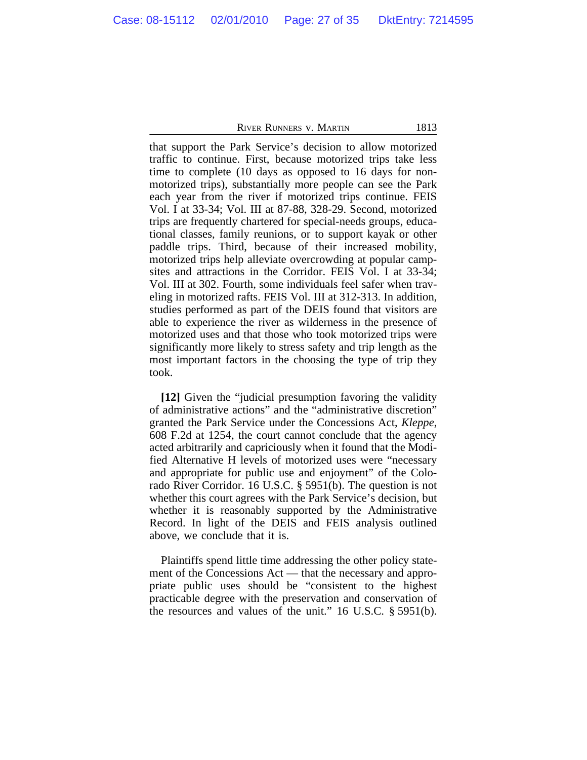that support the Park Service's decision to allow motorized traffic to continue. First, because motorized trips take less time to complete (10 days as opposed to 16 days for nonmotorized trips), substantially more people can see the Park each year from the river if motorized trips continue. FEIS Vol. I at 33-34; Vol. III at 87-88, 328-29. Second, motorized trips are frequently chartered for special-needs groups, educational classes, family reunions, or to support kayak or other paddle trips. Third, because of their increased mobility, motorized trips help alleviate overcrowding at popular campsites and attractions in the Corridor. FEIS Vol. I at 33-34; Vol. III at 302. Fourth, some individuals feel safer when traveling in motorized rafts. FEIS Vol. III at 312-313. In addition, studies performed as part of the DEIS found that visitors are able to experience the river as wilderness in the presence of motorized uses and that those who took motorized trips were significantly more likely to stress safety and trip length as the most important factors in the choosing the type of trip they took.

**[12]** Given the "judicial presumption favoring the validity of administrative actions" and the "administrative discretion" granted the Park Service under the Concessions Act, *Kleppe*, 608 F.2d at 1254, the court cannot conclude that the agency acted arbitrarily and capriciously when it found that the Modified Alternative H levels of motorized uses were "necessary and appropriate for public use and enjoyment" of the Colorado River Corridor. 16 U.S.C. § 5951(b). The question is not whether this court agrees with the Park Service's decision, but whether it is reasonably supported by the Administrative Record. In light of the DEIS and FEIS analysis outlined above, we conclude that it is.

Plaintiffs spend little time addressing the other policy statement of the Concessions Act — that the necessary and appropriate public uses should be "consistent to the highest practicable degree with the preservation and conservation of the resources and values of the unit." 16 U.S.C. § 5951(b).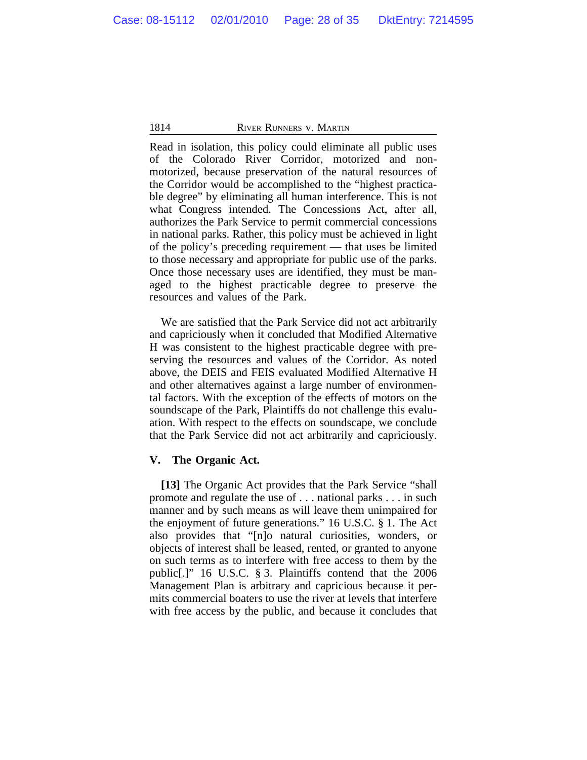Read in isolation, this policy could eliminate all public uses of the Colorado River Corridor, motorized and nonmotorized, because preservation of the natural resources of the Corridor would be accomplished to the "highest practicable degree" by eliminating all human interference. This is not what Congress intended. The Concessions Act, after all, authorizes the Park Service to permit commercial concessions in national parks. Rather, this policy must be achieved in light of the policy's preceding requirement — that uses be limited to those necessary and appropriate for public use of the parks. Once those necessary uses are identified, they must be managed to the highest practicable degree to preserve the resources and values of the Park.

We are satisfied that the Park Service did not act arbitrarily and capriciously when it concluded that Modified Alternative H was consistent to the highest practicable degree with preserving the resources and values of the Corridor. As noted above, the DEIS and FEIS evaluated Modified Alternative H and other alternatives against a large number of environmental factors. With the exception of the effects of motors on the soundscape of the Park, Plaintiffs do not challenge this evaluation. With respect to the effects on soundscape, we conclude that the Park Service did not act arbitrarily and capriciously.

### **V. The Organic Act.**

**[13]** The Organic Act provides that the Park Service "shall promote and regulate the use of . . . national parks . . . in such manner and by such means as will leave them unimpaired for the enjoyment of future generations." 16 U.S.C. § 1. The Act also provides that "[n]o natural curiosities, wonders, or objects of interest shall be leased, rented, or granted to anyone on such terms as to interfere with free access to them by the public[.]" 16 U.S.C. § 3. Plaintiffs contend that the 2006 Management Plan is arbitrary and capricious because it permits commercial boaters to use the river at levels that interfere with free access by the public, and because it concludes that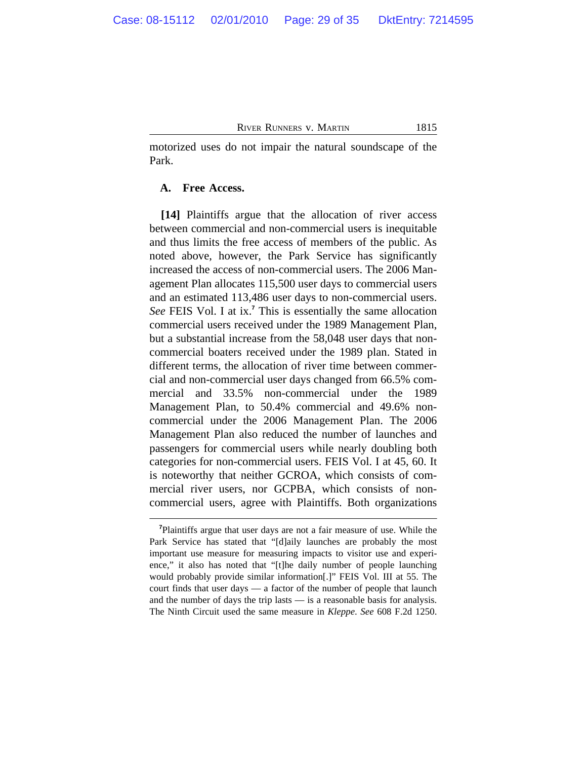motorized uses do not impair the natural soundscape of the Park.

#### **A. Free Access.**

**[14]** Plaintiffs argue that the allocation of river access between commercial and non-commercial users is inequitable and thus limits the free access of members of the public. As noted above, however, the Park Service has significantly increased the access of non-commercial users. The 2006 Management Plan allocates 115,500 user days to commercial users and an estimated 113,486 user days to non-commercial users. *See* FEIS Vol. I at ix.**<sup>7</sup>** This is essentially the same allocation commercial users received under the 1989 Management Plan, but a substantial increase from the 58,048 user days that noncommercial boaters received under the 1989 plan. Stated in different terms, the allocation of river time between commercial and non-commercial user days changed from 66.5% commercial and 33.5% non-commercial under the 1989 Management Plan, to 50.4% commercial and 49.6% noncommercial under the 2006 Management Plan. The 2006 Management Plan also reduced the number of launches and passengers for commercial users while nearly doubling both categories for non-commercial users. FEIS Vol. I at 45, 60. It is noteworthy that neither GCROA, which consists of commercial river users, nor GCPBA, which consists of noncommercial users, agree with Plaintiffs. Both organizations

**<sup>7</sup>**Plaintiffs argue that user days are not a fair measure of use. While the Park Service has stated that "[d]aily launches are probably the most important use measure for measuring impacts to visitor use and experience," it also has noted that "[t]he daily number of people launching would probably provide similar information[.]" FEIS Vol. III at 55. The court finds that user days — a factor of the number of people that launch and the number of days the trip lasts — is a reasonable basis for analysis. The Ninth Circuit used the same measure in *Kleppe*. *See* 608 F.2d 1250.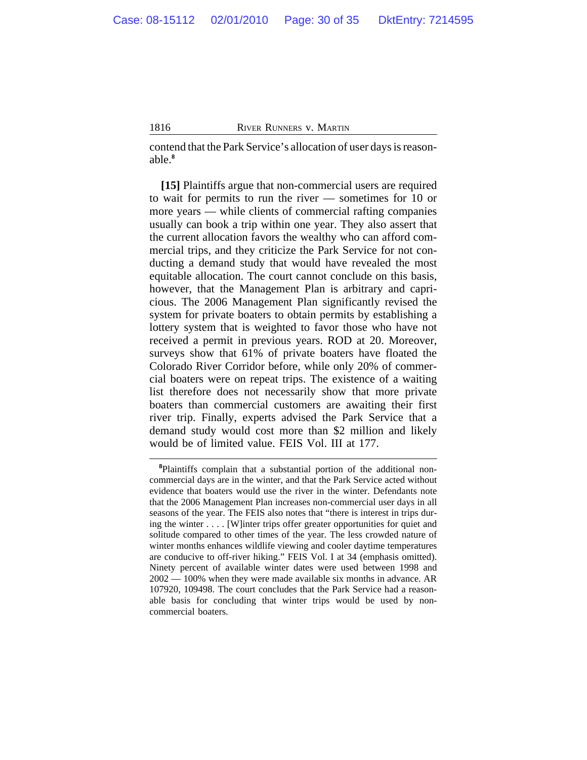contend that the Park Service's allocation of user days is reasonable.**<sup>8</sup>**

**[15]** Plaintiffs argue that non-commercial users are required to wait for permits to run the river — sometimes for 10 or more years — while clients of commercial rafting companies usually can book a trip within one year. They also assert that the current allocation favors the wealthy who can afford commercial trips, and they criticize the Park Service for not conducting a demand study that would have revealed the most equitable allocation. The court cannot conclude on this basis, however, that the Management Plan is arbitrary and capricious. The 2006 Management Plan significantly revised the system for private boaters to obtain permits by establishing a lottery system that is weighted to favor those who have not received a permit in previous years. ROD at 20. Moreover, surveys show that 61% of private boaters have floated the Colorado River Corridor before, while only 20% of commercial boaters were on repeat trips. The existence of a waiting list therefore does not necessarily show that more private boaters than commercial customers are awaiting their first river trip. Finally, experts advised the Park Service that a demand study would cost more than \$2 million and likely would be of limited value. FEIS Vol. III at 177.

**<sup>8</sup>**Plaintiffs complain that a substantial portion of the additional noncommercial days are in the winter, and that the Park Service acted without evidence that boaters would use the river in the winter. Defendants note that the 2006 Management Plan increases non-commercial user days in all seasons of the year. The FEIS also notes that "there is interest in trips during the winter . . . . [W]inter trips offer greater opportunities for quiet and solitude compared to other times of the year. The less crowded nature of winter months enhances wildlife viewing and cooler daytime temperatures are conducive to off-river hiking." FEIS Vol. I at 34 (emphasis omitted). Ninety percent of available winter dates were used between 1998 and 2002 — 100% when they were made available six months in advance. AR 107920, 109498. The court concludes that the Park Service had a reasonable basis for concluding that winter trips would be used by noncommercial boaters.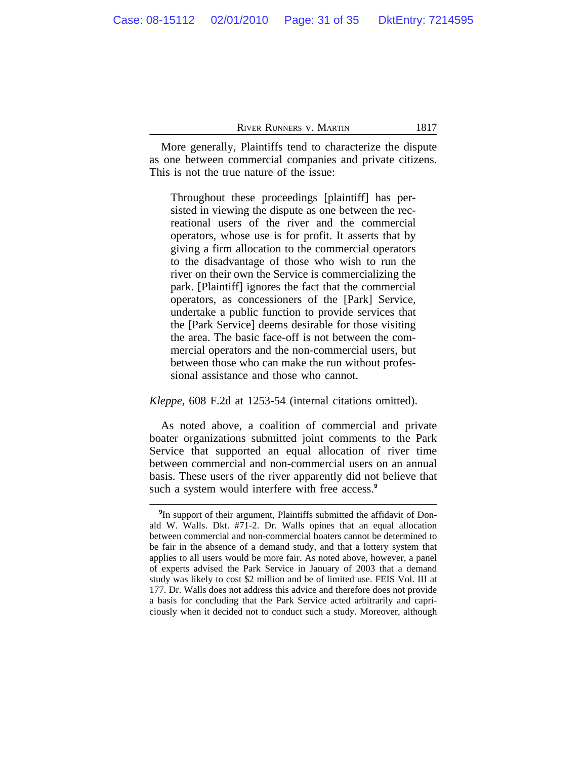More generally, Plaintiffs tend to characterize the dispute as one between commercial companies and private citizens. This is not the true nature of the issue:

Throughout these proceedings [plaintiff] has persisted in viewing the dispute as one between the recreational users of the river and the commercial operators, whose use is for profit. It asserts that by giving a firm allocation to the commercial operators to the disadvantage of those who wish to run the river on their own the Service is commercializing the park. [Plaintiff] ignores the fact that the commercial operators, as concessioners of the [Park] Service, undertake a public function to provide services that the [Park Service] deems desirable for those visiting the area. The basic face-off is not between the commercial operators and the non-commercial users, but between those who can make the run without professional assistance and those who cannot.

*Kleppe*, 608 F.2d at 1253-54 (internal citations omitted).

As noted above, a coalition of commercial and private boater organizations submitted joint comments to the Park Service that supported an equal allocation of river time between commercial and non-commercial users on an annual basis. These users of the river apparently did not believe that such a system would interfere with free access.**<sup>9</sup>**

**<sup>9</sup>** In support of their argument, Plaintiffs submitted the affidavit of Donald W. Walls. Dkt. #71-2. Dr. Walls opines that an equal allocation between commercial and non-commercial boaters cannot be determined to be fair in the absence of a demand study, and that a lottery system that applies to all users would be more fair. As noted above, however, a panel of experts advised the Park Service in January of 2003 that a demand study was likely to cost \$2 million and be of limited use. FEIS Vol. III at 177. Dr. Walls does not address this advice and therefore does not provide a basis for concluding that the Park Service acted arbitrarily and capriciously when it decided not to conduct such a study. Moreover, although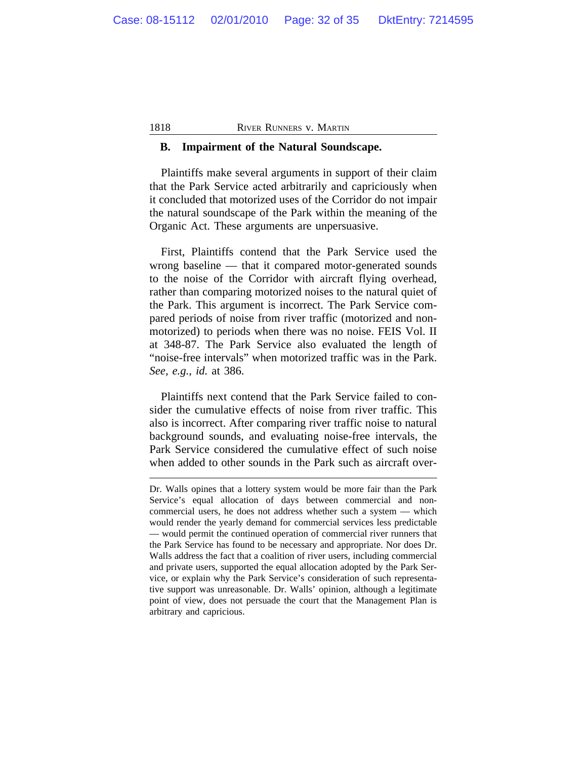#### **B. Impairment of the Natural Soundscape.**

Plaintiffs make several arguments in support of their claim that the Park Service acted arbitrarily and capriciously when it concluded that motorized uses of the Corridor do not impair the natural soundscape of the Park within the meaning of the Organic Act. These arguments are unpersuasive.

First, Plaintiffs contend that the Park Service used the wrong baseline — that it compared motor-generated sounds to the noise of the Corridor with aircraft flying overhead, rather than comparing motorized noises to the natural quiet of the Park. This argument is incorrect. The Park Service compared periods of noise from river traffic (motorized and nonmotorized) to periods when there was no noise. FEIS Vol. II at 348-87. The Park Service also evaluated the length of "noise-free intervals" when motorized traffic was in the Park. *See, e.g., id.* at 386.

Plaintiffs next contend that the Park Service failed to consider the cumulative effects of noise from river traffic. This also is incorrect. After comparing river traffic noise to natural background sounds, and evaluating noise-free intervals, the Park Service considered the cumulative effect of such noise when added to other sounds in the Park such as aircraft over-

Dr. Walls opines that a lottery system would be more fair than the Park Service's equal allocation of days between commercial and noncommercial users, he does not address whether such a system — which would render the yearly demand for commercial services less predictable — would permit the continued operation of commercial river runners that the Park Service has found to be necessary and appropriate. Nor does Dr. Walls address the fact that a coalition of river users, including commercial and private users, supported the equal allocation adopted by the Park Service, or explain why the Park Service's consideration of such representative support was unreasonable. Dr. Walls' opinion, although a legitimate point of view, does not persuade the court that the Management Plan is arbitrary and capricious.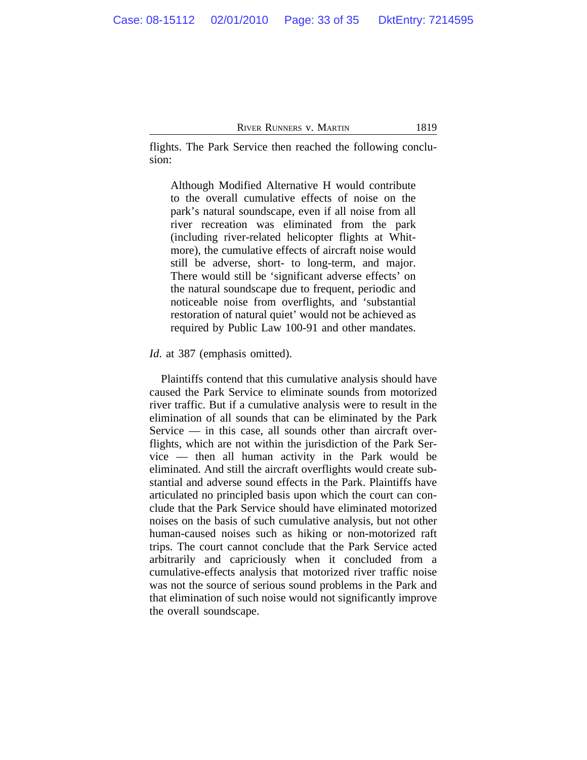flights. The Park Service then reached the following conclusion:

Although Modified Alternative H would contribute to the overall cumulative effects of noise on the park's natural soundscape, even if all noise from all river recreation was eliminated from the park (including river-related helicopter flights at Whitmore), the cumulative effects of aircraft noise would still be adverse, short- to long-term, and major. There would still be 'significant adverse effects' on the natural soundscape due to frequent, periodic and noticeable noise from overflights, and 'substantial restoration of natural quiet' would not be achieved as required by Public Law 100-91 and other mandates.

#### *Id*. at 387 (emphasis omitted).

Plaintiffs contend that this cumulative analysis should have caused the Park Service to eliminate sounds from motorized river traffic. But if a cumulative analysis were to result in the elimination of all sounds that can be eliminated by the Park Service — in this case, all sounds other than aircraft overflights, which are not within the jurisdiction of the Park Service — then all human activity in the Park would be eliminated. And still the aircraft overflights would create substantial and adverse sound effects in the Park. Plaintiffs have articulated no principled basis upon which the court can conclude that the Park Service should have eliminated motorized noises on the basis of such cumulative analysis, but not other human-caused noises such as hiking or non-motorized raft trips. The court cannot conclude that the Park Service acted arbitrarily and capriciously when it concluded from a cumulative-effects analysis that motorized river traffic noise was not the source of serious sound problems in the Park and that elimination of such noise would not significantly improve the overall soundscape.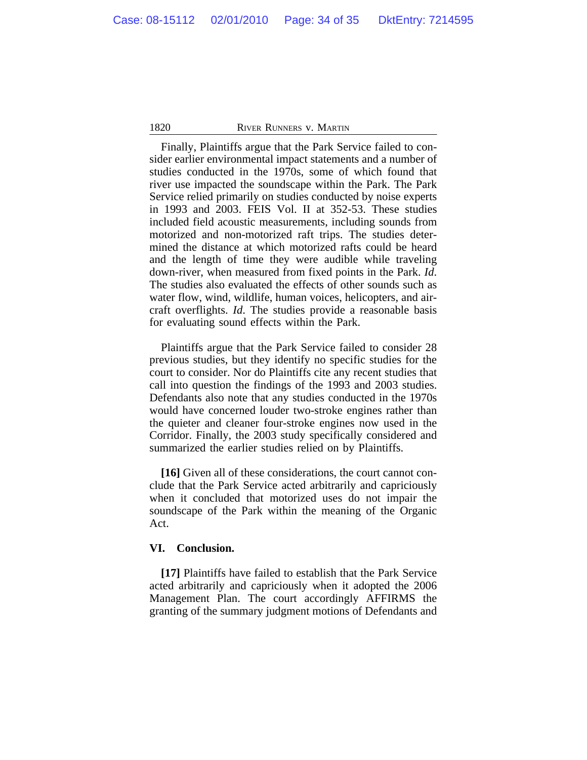Finally, Plaintiffs argue that the Park Service failed to consider earlier environmental impact statements and a number of studies conducted in the 1970s, some of which found that river use impacted the soundscape within the Park. The Park Service relied primarily on studies conducted by noise experts in 1993 and 2003. FEIS Vol. II at 352-53. These studies included field acoustic measurements, including sounds from motorized and non-motorized raft trips. The studies determined the distance at which motorized rafts could be heard and the length of time they were audible while traveling down-river, when measured from fixed points in the Park. *Id*. The studies also evaluated the effects of other sounds such as water flow, wind, wildlife, human voices, helicopters, and aircraft overflights. *Id*. The studies provide a reasonable basis for evaluating sound effects within the Park.

Plaintiffs argue that the Park Service failed to consider 28 previous studies, but they identify no specific studies for the court to consider. Nor do Plaintiffs cite any recent studies that call into question the findings of the 1993 and 2003 studies. Defendants also note that any studies conducted in the 1970s would have concerned louder two-stroke engines rather than the quieter and cleaner four-stroke engines now used in the Corridor. Finally, the 2003 study specifically considered and summarized the earlier studies relied on by Plaintiffs.

**[16]** Given all of these considerations, the court cannot conclude that the Park Service acted arbitrarily and capriciously when it concluded that motorized uses do not impair the soundscape of the Park within the meaning of the Organic Act.

### **VI. Conclusion.**

**[17]** Plaintiffs have failed to establish that the Park Service acted arbitrarily and capriciously when it adopted the 2006 Management Plan. The court accordingly AFFIRMS the granting of the summary judgment motions of Defendants and